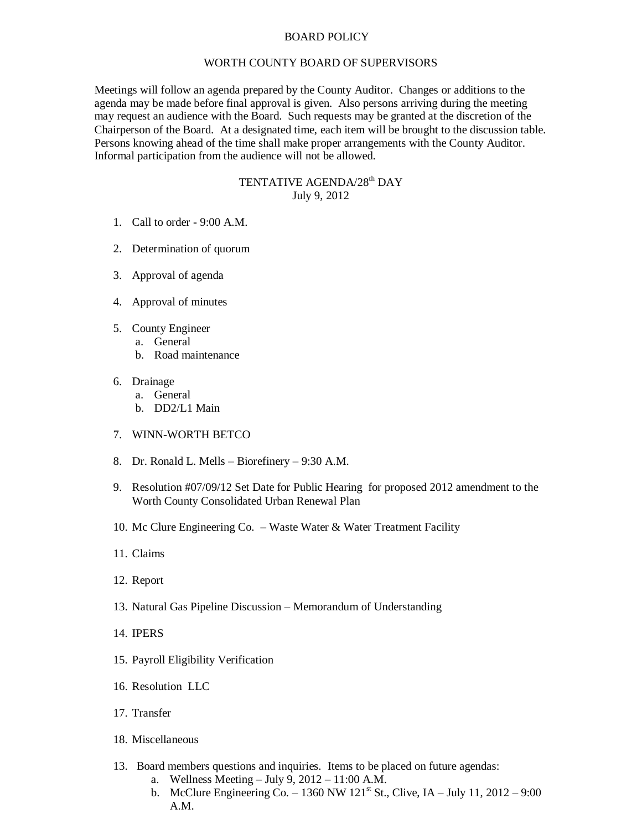## BOARD POLICY

## WORTH COUNTY BOARD OF SUPERVISORS

Meetings will follow an agenda prepared by the County Auditor. Changes or additions to the agenda may be made before final approval is given. Also persons arriving during the meeting may request an audience with the Board. Such requests may be granted at the discretion of the Chairperson of the Board. At a designated time, each item will be brought to the discussion table. Persons knowing ahead of the time shall make proper arrangements with the County Auditor. Informal participation from the audience will not be allowed.

## TENTATIVE AGENDA/28<sup>th</sup> DAY July 9, 2012

- 1. Call to order 9:00 A.M.
- 2. Determination of quorum
- 3. Approval of agenda
- 4. Approval of minutes
- 5. County Engineer
	- a. General
		- b. Road maintenance
- 6. Drainage
	- a. General
	- b. DD2/L1 Main
- 7. WINN-WORTH BETCO
- 8. Dr. Ronald L. Mells Biorefinery 9:30 A.M.
- 9. Resolution #07/09/12 Set Date for Public Hearing for proposed 2012 amendment to the Worth County Consolidated Urban Renewal Plan
- 10. Mc Clure Engineering Co. Waste Water & Water Treatment Facility
- 11. Claims
- 12. Report
- 13. Natural Gas Pipeline Discussion Memorandum of Understanding
- 14. IPERS
- 15. Payroll Eligibility Verification
- 16. Resolution LLC
- 17. Transfer
- 18. Miscellaneous
- 13. Board members questions and inquiries. Items to be placed on future agendas:
	- a. Wellness Meeting July 9, 2012 11:00 A.M.
	- b. McClure Engineering Co. 1360 NW 121<sup>st</sup> St., Clive, IA July 11, 2012 9:00 A.M.